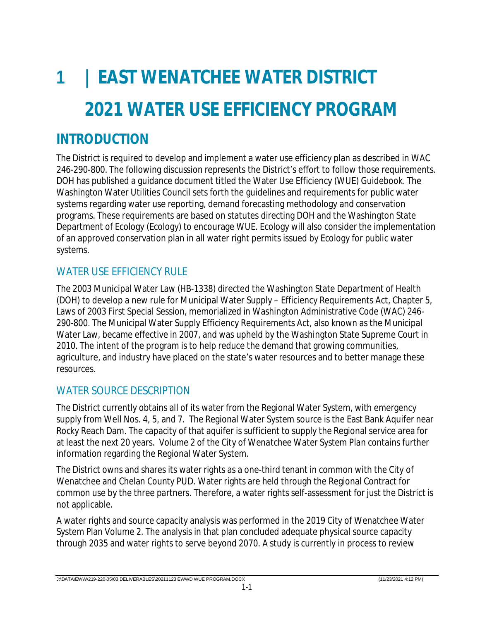# **1 | EAST WENATCHEE WATER DISTRICT 2021 WATER USE EFFICIENCY PROGRAM**

# **INTRODUCTION**

The District is required to develop and implement a water use efficiency plan as described in WAC 246-290-800. The following discussion represents the District's effort to follow those requirements. DOH has published a guidance document titled the Water Use Efficiency (WUE) Guidebook. The Washington Water Utilities Council sets forth the guidelines and requirements for public water systems regarding water use reporting, demand forecasting methodology and conservation programs. These requirements are based on statutes directing DOH and the Washington State Department of Ecology (Ecology) to encourage WUE. Ecology will also consider the implementation of an approved conservation plan in all water right permits issued by Ecology for public water systems.

## WATER USE EFFICIENCY RULE

The 2003 Municipal Water Law (HB-1338) directed the Washington State Department of Health (DOH) to develop a new rule for Municipal Water Supply – Efficiency Requirements Act, Chapter 5, Laws of 2003 First Special Session, memorialized in Washington Administrative Code (WAC) 246- 290-800. The Municipal Water Supply Efficiency Requirements Act, also known as the Municipal Water Law, became effective in 2007, and was upheld by the Washington State Supreme Court in 2010. The intent of the program is to help reduce the demand that growing communities, agriculture, and industry have placed on the state's water resources and to better manage these resources.

## WATER SOURCE DESCRIPTION

The District currently obtains all of its water from the Regional Water System, with emergency supply from Well Nos. 4, 5, and 7. The Regional Water System source is the East Bank Aquifer near Rocky Reach Dam. The capacity of that aquifer is sufficient to supply the Regional service area for at least the next 20 years*. Volume 2 of the City of Wenatchee Water System Plan* contains further information regarding the Regional Water System.

The District owns and shares its water rights as a one-third tenant in common with the City of Wenatchee and Chelan County PUD. Water rights are held through the Regional Contract for common use by the three partners. Therefore, a water rights self-assessment for just the District is not applicable.

A water rights and source capacity analysis was performed in the 2019 City of Wenatchee Water System Plan Volume 2. The analysis in that plan concluded adequate physical source capacity through 2035 and water rights to serve beyond 2070. A study is currently in process to review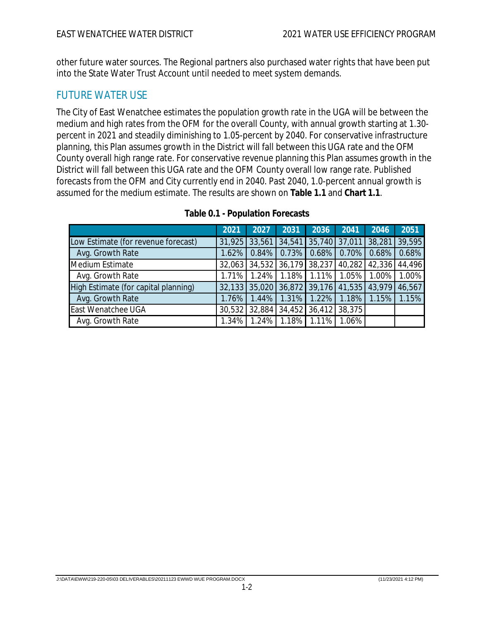other future water sources. The Regional partners also purchased water rights that have been put into the State Water Trust Account until needed to meet system demands.

## FUTURE WATER USE

The City of East Wenatchee estimates the population growth rate in the UGA will be between the medium and high rates from the OFM for the overall County, with annual growth starting at 1.30 percent in 2021 and steadily diminishing to 1.05-percent by 2040. For conservative infrastructure planning, this Plan assumes growth in the District will fall between this UGA rate and the OFM County overall high range rate. For conservative revenue planning this Plan assumes growth in the District will fall between this UGA rate and the OFM County overall low range rate. Published forecasts from the OFM and City currently end in 2040. Past 2040, 1.0-percent annual growth is assumed for the medium estimate. The results are shown on **Table 1.1** and **Chart 1.1**.

|                                      | 2021   | 2027                        | 2031                 | 2036   | 2041   | 2046   | 2051   |
|--------------------------------------|--------|-----------------------------|----------------------|--------|--------|--------|--------|
| Low Estimate (for revenue forecast)  | 31,925 | 33,561                      | 34,541               | 35,740 | 37,011 | 38,281 | 39,595 |
| Avg. Growth Rate                     | 1.62%  | 0.84%                       | 0.73%                | 0.68%  | 0.70%  | 0.68%  | 0.68%  |
| Medium Estimate                      |        | 32,063 34,532 36,179 38,237 |                      |        | 40,282 | 42,336 | 44,496 |
| Avg. Growth Rate                     | 1.71%  | 1.24%                       | 1.18%                | 1.11%  | 1.05%  | 1.00%  | 1.00%  |
| High Estimate (for capital planning) | 32,133 | 35,020                      | 36,872               | 39,176 | 41,535 | 43,979 | 46,567 |
| Avg. Growth Rate                     | 1.76%  | 1.44%                       | 1.31%                | 1.22%  | .18%   | 1.15%  | 1.15%  |
| <b>East Wenatchee UGA</b>            | 30,532 |                             | 32,884 34,452 36,412 |        | 38,375 |        |        |
| Avg. Growth Rate                     | 1.34%  | 1.24%                       | 1.18%                | 1.11%  | 1.06%  |        |        |

|  | Table 0.1 - Population Forecasts |  |
|--|----------------------------------|--|
|--|----------------------------------|--|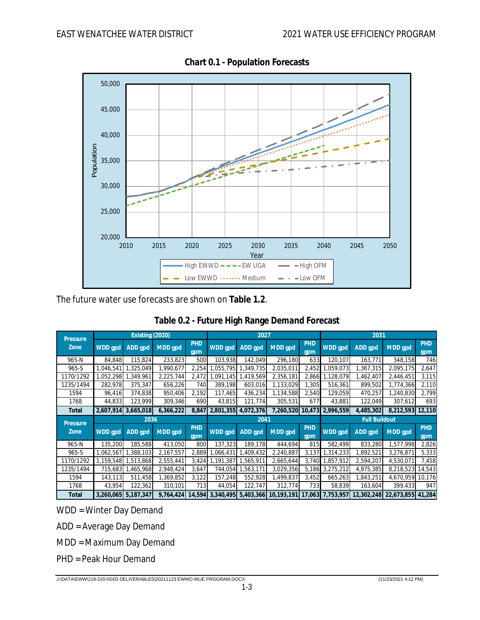

**Chart 0.1 - Population Forecasts**

The future water use forecasts are shown on **Table 1.2**.

| Pressure                | Existing (2020) |           |           |            | 2027      |           |            | 2031                 |                 |            |                   |                   |
|-------------------------|-----------------|-----------|-----------|------------|-----------|-----------|------------|----------------------|-----------------|------------|-------------------|-------------------|
| Zone                    | WDD gpd         | ADD gpd   | MDD gpd   | PHD<br>gpm | WDD gpd   | ADD gpd   | MDD qpd    | <b>PHD</b><br>gpm    | WDD gpd         | ADD gpd    | MDD gpd           | <b>PHD</b><br>gpm |
| 965-N                   | 84,848          | 115,824   | 233,823   | 500        | 103,938   | 142,049   | 296,180    | 633                  | 120,107         | 163,771    | 348,158           | 746               |
| $965-S$                 | 1,046,541       | 1,325,049 | ,990,677  | 2,254      | .055.795  | ,349,735  | 2,035,011  | 2,452                | .059.073        | 367,315    | 2,095,175         | 2,647             |
| 1170/1292               | ,052,298        | ,349,961  | 2,225,744 | 2,472      | .091.145  | ,419,569  | 2,356,181  | 2,866                | 1,128,079       | 1,462,407  | 2,446,451         | 3,115             |
| 1235/1494               | 282,978         | 375,347   | 656,226   | 740        | 389,198   | 603,016   | 1,133,029  | 1,305                | 516,361         | 899,502    | 1,774,366         | 2,110             |
| 1594                    | 96,416          | 374,838   | 950,406   | 2,192      | 117,465   | 436,234   | 1,134,588  | 2,540                | 129,059         | 470,257    | 1,240,830         | 2,799             |
| 1768                    | 44,833          | 123,999   | 309,346   | 690        | 43,815    | 121,774   | 305,531    | 677                  | 43,881          | 122,049    | 307,612           | 693               |
| Total                   | 2,607,914       | 3.665.018 | 6,366,222 | 8,847      | 2,801,355 | 4,072,376 | 7,260,520  | 10.473               | 2.996.559       | 4.485.302  | 8,212,593         | 12,110            |
|                         |                 | 2036      |           |            | 2041      |           |            | <b>Full Buildout</b> |                 |            |                   |                   |
| <b>Pressure</b><br>Zone | WDD gpd         | ADD gpd   | MDD gpd   | PHD<br>gpm | WDD gpd   | ADD gpd   | MDD gpd    | PHD<br>gpm           | WDD gpd         | ADD gpd    | MDD qpd           | <b>PHD</b><br>gpm |
| 965-N                   | 135,200         | 185,588   | 413,050   | 800        | 137,323   | 189,178   | 444,694    | 815                  | 582,499         | 833,280    | 1,577,998         | 2,826             |
| $965-S$                 | ,062,567        | 1,388,103 | 2,167,557 | 2,889      | ,066,431  | ,409,432  | 2,240,887  | 3,137                | 1,314,233       | 1,892,521  | 3,276,871         | 5,333             |
| 1170/1292               | 1.159.548       | 1,513,868 | 2,555,441 | 3,424      | 1.191.387 | ,565,911  | 2,665,644  | 3,740                | 1.857.912       | 2,594,207  | 4,530,071         | 7,458             |
| 1235/1494               | 715,683         | 1,465,968 | 2,948,424 | 3,647      | 744,054   | ,563,171  | 3,029,356  |                      | 5,186 3,275,212 | 4,975,385  | 8,218,523 14,543  |                   |
| 1594                    | 143,113         | 511,458   | 1,369,852 | 3,122      | 157,248   | 552,928   | 1,499,837  | 3,452                | 665,263         | 1,843,251  | 4,670,959 10,176  |                   |
| 1768                    | 43,954          | 122,362   | 310,101   | 713        | 44,054    | 122,747   | 312,774    | 733                  | 58,839          | 163,604    | 399,433           | 947               |
| Total                   | 3,260,065       | 5.187.347 | 9,764,424 | 14,594     | 3,340,495 | 5,403,366 | 10,193,191 | 17.063               | 7.753.957       | 12.302.248 | 22.673.855 41.284 |                   |

WDD = Winter Day Demand

ADD = Average Day Demand

MDD = Maximum Day Demand

PHD = Peak Hour Demand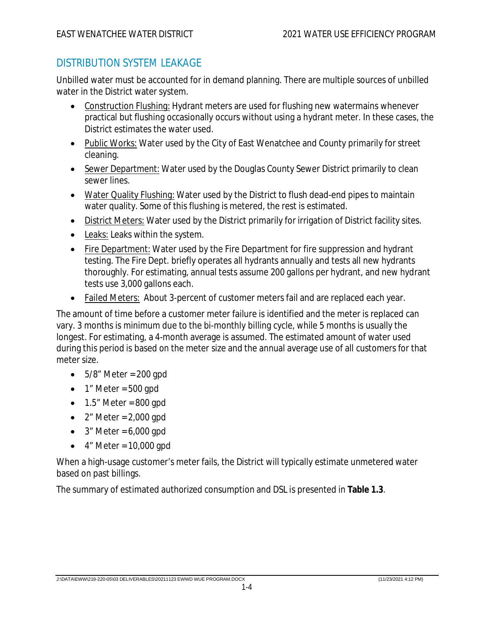## DISTRIBUTION SYSTEM LEAKAGE

Unbilled water must be accounted for in demand planning. There are multiple sources of unbilled water in the District water system.

- Construction Flushing: Hydrant meters are used for flushing new watermains whenever practical but flushing occasionally occurs without using a hydrant meter. In these cases, the District estimates the water used.
- Public Works: Water used by the City of East Wenatchee and County primarily for street cleaning.
- Sewer Department: Water used by the Douglas County Sewer District primarily to clean sewer lines.
- Water Quality Flushing: Water used by the District to flush dead-end pipes to maintain water quality. Some of this flushing is metered, the rest is estimated.
- District Meters: Water used by the District primarily for irrigation of District facility sites.
- Leaks: Leaks within the system.
- Fire Department: Water used by the Fire Department for fire suppression and hydrant testing. The Fire Dept. briefly operates all hydrants annually and tests all new hydrants thoroughly. For estimating, annual tests assume 200 gallons per hydrant, and new hydrant tests use 3,000 gallons each.
- Failed Meters: About 3-percent of customer meters fail and are replaced each year.

The amount of time before a customer meter failure is identified and the meter is replaced can vary. 3 months is minimum due to the bi-monthly billing cycle, while 5 months is usually the longest. For estimating, a 4-month average is assumed. The estimated amount of water used during this period is based on the meter size and the annual average use of all customers for that meter size.

- $-5/8$ " Meter = 200 gpd
- $\bullet$  1" Meter = 500 gpd
- $\bullet$  1.5" Meter = 800 gpd
- $\bullet$  2" Meter = 2,000 gpd
- $\bullet$  3" Meter = 6,000 gpd
- $\bullet$  4" Meter = 10,000 gpd

When a high-usage customer's meter fails, the District will typically estimate unmetered water based on past billings.

The summary of estimated authorized consumption and DSL is presented in **Table 1.3**.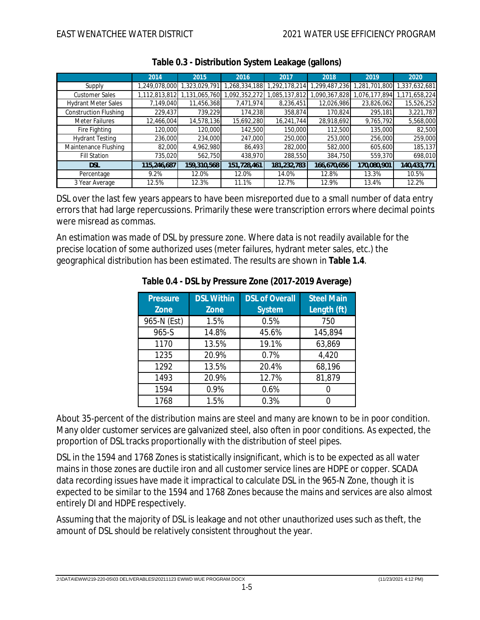|                              | 2014          | 2015          | 2016         | 2017         | 2018         | 2019         | 2020          |
|------------------------------|---------------|---------------|--------------|--------------|--------------|--------------|---------------|
| Supply                       | ,249,078,000  | 1,323,029,791 | ,268,334,188 | ,292,178,214 | ,299,487,236 | .281.701.800 | ,337,632,681  |
| <b>Customer Sales</b>        | 1,112,813,812 | 1,131,065,760 | ,092,352,272 | ,085,137,812 | ,090,367,828 | ,076,177,894 | 1,171,658,224 |
| <b>Hydrant Meter Sales</b>   | 7,149,040     | 11,456,368    | 7,471,974    | 8,236,451    | 12,026,986   | 23,826,062   | 15,526,252    |
| <b>Construction Flushing</b> | 229,437       | 739,229       | 174,238      | 358,874      | 170,824      | 295,181      | 3,221,787     |
| <b>Meter Failures</b>        | 12,466,004    | 14,578,136    | 15,692,280   | 16.241.744   | 28,918,692   | 9,765,792    | 5,568,000     |
| Fire Fighting                | 120,000       | 120,000       | 142,500      | 150,000      | 112,500      | 135,000      | 82,500        |
| <b>Hydrant Testing</b>       | 236,000       | 234,000       | 247,000      | 250,000      | 253,000      | 256,000      | 259,000       |
| Maintenance Flushing         | 82,000        | 4,962,980     | 86,493       | 282,000      | 582,000      | 605,600      | 185,137       |
| <b>Fill Station</b>          | 735,020       | 562,750       | 438,970      | 288,550      | 384,750      | 559,370      | 698,010       |
| DSL                          | 115,246,687   | 159,310,568   | 151,728,461  | 181,232,783  | 166,670,656  | 170,080,901  | 140,433,771   |
| Percentage                   | 9.2%          | 12.0%         | 12.0%        | 14.0%        | 12.8%        | 13.3%        | 10.5%         |
| 3 Year Average               | 12.5%         | 12.3%         | 11.1%        | 12.7%        | 12.9%        | 13.4%        | 12.2%         |

| Table 0.3 - Distribution System Leakage (gallons) |  |  |
|---------------------------------------------------|--|--|

DSL over the last few years appears to have been misreported due to a small number of data entry errors that had large repercussions. Primarily these were transcription errors where decimal points were misread as commas.

An estimation was made of DSL by pressure zone. Where data is not readily available for the precise location of some authorized uses (meter failures, hydrant meter sales, etc.) the geographical distribution has been estimated. The results are shown in **Table 1.4**.

| Pressure    | <b>DSL Within</b> | <b>DSL of Overall</b> | <b>Steel Main</b> |
|-------------|-------------------|-----------------------|-------------------|
| Zone        | Zone              | System                | Length (ft)       |
| 965-N (Est) | 1.5%              | 0.5%                  | 750               |
| 965-S       | 14.8%             | 45.6%                 | 145,894           |
| 1170        | 13.5%             | 19.1%                 | 63,869            |
| 1235        | 20.9%             | 0.7%                  | 4,420             |
| 1292        | 13.5%             | 20.4%                 | 68,196            |
| 1493        | 20.9%             | 12.7%                 | 81,879            |
| 1594        | 0.9%              | 0.6%                  |                   |
| 1768        | 1.5%              | 0.3%                  |                   |

|  | Table 0.4 - DSL by Pressure Zone (2017-2019 Average) |
|--|------------------------------------------------------|
|  |                                                      |

About 35-percent of the distribution mains are steel and many are known to be in poor condition. Many older customer services are galvanized steel, also often in poor conditions. As expected, the proportion of DSL tracks proportionally with the distribution of steel pipes.

DSL in the 1594 and 1768 Zones is statistically insignificant, which is to be expected as all water mains in those zones are ductile iron and all customer service lines are HDPE or copper. SCADA data recording issues have made it impractical to calculate DSL in the 965-N Zone, though it is expected to be similar to the 1594 and 1768 Zones because the mains and services are also almost entirely DI and HDPE respectively.

Assuming that the majority of DSL is leakage and not other unauthorized uses such as theft, the amount of DSL should be relatively consistent throughout the year.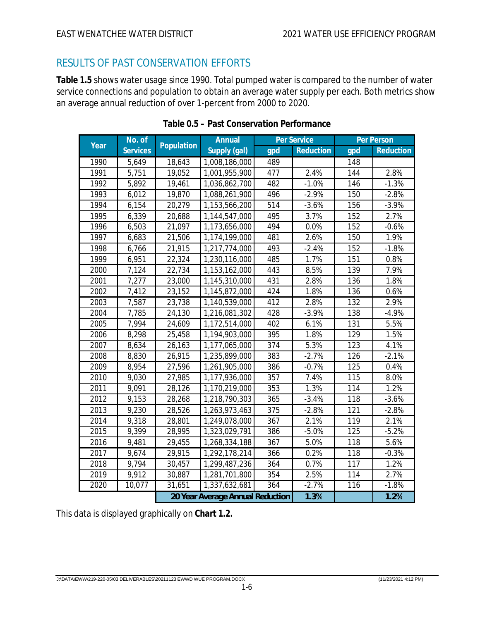## RESULTS OF PAST CONSERVATION EFFORTS

**Table 1.5** shows water usage since 1990. Total pumped water is compared to the number of water service connections and population to obtain an average water supply per each. Both metrics show an average annual reduction of over 1-percent from 2000 to 2020.

| Year | No. of          | Population | Annual                           |     | Per Service |     | Per Person |
|------|-----------------|------------|----------------------------------|-----|-------------|-----|------------|
|      | <b>Services</b> |            | Supply (gal)                     | gpd | Reduction   | gpd | Reduction  |
| 1990 | 5,649           | 18,643     | 1,008,186,000                    | 489 |             | 148 |            |
| 1991 | 5,751           | 19,052     | 1,001,955,900                    | 477 | 2.4%        | 144 | 2.8%       |
| 1992 | 5,892           | 19,461     | 1,036,862,700                    | 482 | $-1.0%$     | 146 | $-1.3%$    |
| 1993 | 6,012           | 19,870     | 1,088,261,900                    | 496 | $-2.9%$     | 150 | $-2.8%$    |
| 1994 | 6,154           | 20,279     | 1,153,566,200                    | 514 | $-3.6%$     | 156 | $-3.9%$    |
| 1995 | 6,339           | 20,688     | 1,144,547,000                    | 495 | 3.7%        | 152 | 2.7%       |
| 1996 | 6,503           | 21,097     | 1,173,656,000                    | 494 | 0.0%        | 152 | $-0.6%$    |
| 1997 | 6,683           | 21,506     | 1,174,199,000                    | 481 | 2.6%        | 150 | 1.9%       |
| 1998 | 6,766           | 21,915     | 1,217,774,000                    | 493 | $-2.4%$     | 152 | $-1.8%$    |
| 1999 | 6,951           | 22,324     | 1,230,116,000                    | 485 | 1.7%        | 151 | 0.8%       |
| 2000 | 7,124           | 22,734     | 1,153,162,000                    | 443 | 8.5%        | 139 | 7.9%       |
| 2001 | 7,277           | 23,000     | 1,145,310,000                    | 431 | 2.8%        | 136 | 1.8%       |
| 2002 | 7,412           | 23,152     | 1,145,872,000                    | 424 | 1.8%        | 136 | 0.6%       |
| 2003 | 7,587           | 23,738     | 1,140,539,000                    | 412 | 2.8%        | 132 | 2.9%       |
| 2004 | 7,785           | 24,130     | 1,216,081,302                    | 428 | $-3.9%$     | 138 | $-4.9%$    |
| 2005 | 7,994           | 24,609     | 1,172,514,000                    | 402 | 6.1%        | 131 | 5.5%       |
| 2006 | 8,298           | 25,458     | 1,194,903,000                    | 395 | 1.8%        | 129 | 1.5%       |
| 2007 | 8,634           | 26,163     | 1,177,065,000                    | 374 | 5.3%        | 123 | 4.1%       |
| 2008 | 8,830           | 26,915     | 1,235,899,000                    | 383 | $-2.7%$     | 126 | $-2.1%$    |
| 2009 | 8,954           | 27,596     | 1,261,905,000                    | 386 | $-0.7%$     | 125 | 0.4%       |
| 2010 | 9,030           | 27,985     | 1,177,936,000                    | 357 | 7.4%        | 115 | 8.0%       |
| 2011 | 9,091           | 28,126     | 1,170,219,000                    | 353 | 1.3%        | 114 | 1.2%       |
| 2012 | 9,153           | 28,268     | 1,218,790,303                    | 365 | $-3.4%$     | 118 | $-3.6%$    |
| 2013 | 9,230           | 28,526     | 1,263,973,463                    | 375 | $-2.8%$     | 121 | $-2.8%$    |
| 2014 | 9,318           | 28,801     | 1,249,078,000                    | 367 | 2.1%        | 119 | 2.1%       |
| 2015 | 9,399           | 28,995     | 1,323,029,791                    | 386 | $-5.0%$     | 125 | $-5.2%$    |
| 2016 | 9,481           | 29,455     | 1,268,334,188                    | 367 | 5.0%        | 118 | 5.6%       |
| 2017 | 9,674           | 29,915     | 1,292,178,214                    | 366 | 0.2%        | 118 | $-0.3%$    |
| 2018 | 9,794           | 30,457     | 1,299,487,236                    | 364 | 0.7%        | 117 | 1.2%       |
| 2019 | 9,912           | 30,887     | 1,281,701,800                    | 354 | 2.5%        | 114 | 2.7%       |
| 2020 | 10,077          | 31,651     | 1,337,632,681                    | 364 | $-2.7%$     | 116 | $-1.8%$    |
|      |                 |            | 20 Year Average Annual Reduction |     | 1.3%        |     | 1.2%       |

This data is displayed graphically on **Chart 1.2.**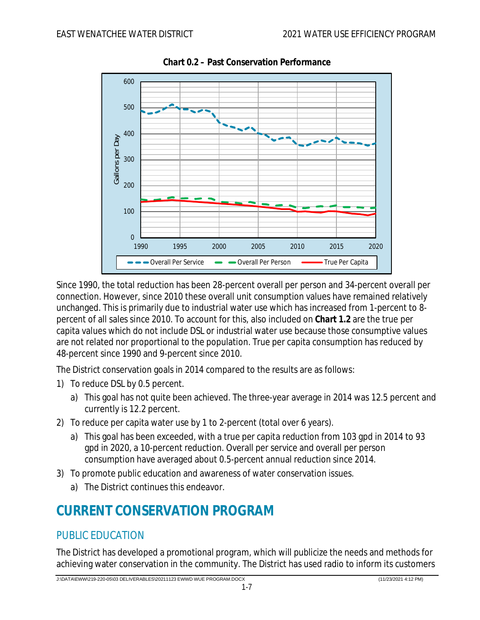

**Chart 0.2 – Past Conservation Performance**

Since 1990, the total reduction has been 28-percent overall per person and 34-percent overall per connection. However, since 2010 these overall unit consumption values have remained relatively unchanged. This is primarily due to industrial water use which has increased from 1-percent to 8 percent of all sales since 2010. To account for this, also included on **Chart 1.2** are the true per capita values which do not include DSL or industrial water use because those consumptive values are not related nor proportional to the population. True per capita consumption has reduced by 48-percent since 1990 and 9-percent since 2010.

The District conservation goals in 2014 compared to the results are as follows:

- 1) To reduce DSL by 0.5 percent.
	- a) This goal has not quite been achieved. The three-year average in 2014 was 12.5 percent and currently is 12.2 percent.
- 2) To reduce per capita water use by 1 to 2-percent (total over 6 years).
	- a) This goal has been exceeded, with a true per capita reduction from 103 gpd in 2014 to 93 gpd in 2020, a 10-percent reduction. Overall per service and overall per person consumption have averaged about 0.5-percent annual reduction since 2014.
- 3) To promote public education and awareness of water conservation issues.
	- a) The District continues this endeavor.

## **CURRENT CONSERVATION PROGRAM**

## PUBLIC EDUCATION

The District has developed a promotional program, which will publicize the needs and methods for achieving water conservation in the community. The District has used radio to inform its customers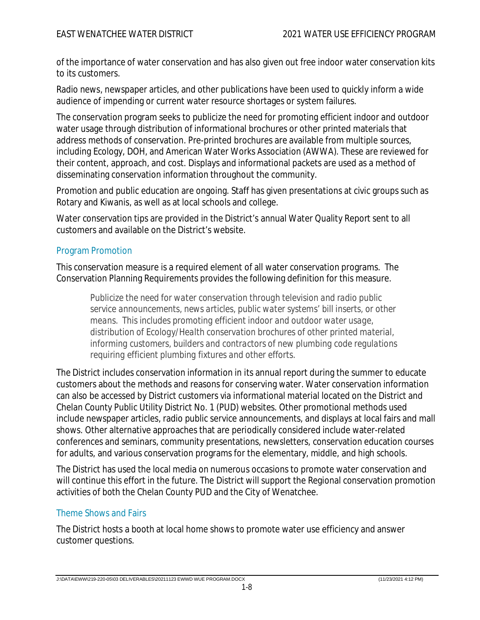of the importance of water conservation and has also given out free indoor water conservation kits to its customers.

Radio news, newspaper articles, and other publications have been used to quickly inform a wide audience of impending or current water resource shortages or system failures.

The conservation program seeks to publicize the need for promoting efficient indoor and outdoor water usage through distribution of informational brochures or other printed materials that address methods of conservation. Pre-printed brochures are available from multiple sources, including Ecology, DOH, and American Water Works Association (AWWA). These are reviewed for their content, approach, and cost. Displays and informational packets are used as a method of disseminating conservation information throughout the community.

Promotion and public education are ongoing. Staff has given presentations at civic groups such as Rotary and Kiwanis, as well as at local schools and college.

Water conservation tips are provided in the District's annual Water Quality Report sent to all customers and available on the District's website.

#### Program Promotion

This conservation measure is a required element of all water conservation programs. The Conservation Planning Requirements provides the following definition for this measure.

*Publicize the need for water conservation through television and radio public service announcements, news articles, public water systems' bill inserts, or other means. This includes promoting efficient indoor and outdoor water usage, distribution of Ecology/Health conservation brochures of other printed material, informing customers, builders and contractors of new plumbing code regulations requiring efficient plumbing fixtures and other efforts.*

The District includes conservation information in its annual report during the summer to educate customers about the methods and reasons for conserving water. Water conservation information can also be accessed by District customers via informational material located on the District and Chelan County Public Utility District No. 1 (PUD) websites. Other promotional methods used include newspaper articles, radio public service announcements, and displays at local fairs and mall shows. Other alternative approaches that are periodically considered include water-related conferences and seminars, community presentations, newsletters, conservation education courses for adults, and various conservation programs for the elementary, middle, and high schools.

The District has used the local media on numerous occasions to promote water conservation and will continue this effort in the future. The District will support the Regional conservation promotion activities of both the Chelan County PUD and the City of Wenatchee.

#### Theme Shows and Fairs

The District hosts a booth at local home shows to promote water use efficiency and answer customer questions.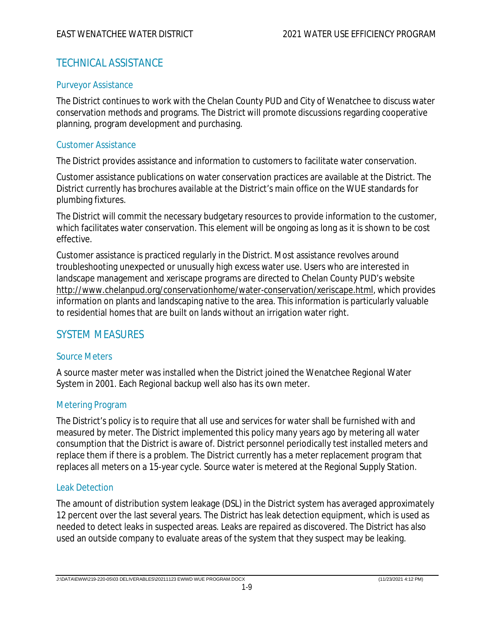## TECHNICAL ASSISTANCE

#### Purveyor Assistance

The District continues to work with the Chelan County PUD and City of Wenatchee to discuss water conservation methods and programs. The District will promote discussions regarding cooperative planning, program development and purchasing.

#### Customer Assistance

The District provides assistance and information to customers to facilitate water conservation.

Customer assistance publications on water conservation practices are available at the District. The District currently has brochures available at the District's main office on the WUE standards for plumbing fixtures.

The District will commit the necessary budgetary resources to provide information to the customer, which facilitates water conservation. This element will be ongoing as long as it is shown to be cost effective.

Customer assistance is practiced regularly in the District. Most assistance revolves around troubleshooting unexpected or unusually high excess water use. Users who are interested in landscape management and xeriscape programs are directed to Chelan County PUD's website http://www.chelanpud.org/conservationhome/water-conservation/xeriscape.html, which provides information on plants and landscaping native to the area. This information is particularly valuable to residential homes that are built on lands without an irrigation water right.

#### SYSTEM MEASURES

#### Source Meters

A source master meter was installed when the District joined the Wenatchee Regional Water System in 2001. Each Regional backup well also has its own meter.

#### Metering Program

The District's policy is to require that all use and services for water shall be furnished with and measured by meter. The District implemented this policy many years ago by metering all water consumption that the District is aware of. District personnel periodically test installed meters and replace them if there is a problem. The District currently has a meter replacement program that replaces all meters on a 15-year cycle. Source water is metered at the Regional Supply Station.

#### Leak Detection

The amount of distribution system leakage (DSL) in the District system has averaged approximately 12 percent over the last several years. The District has leak detection equipment, which is used as needed to detect leaks in suspected areas. Leaks are repaired as discovered. The District has also used an outside company to evaluate areas of the system that they suspect may be leaking.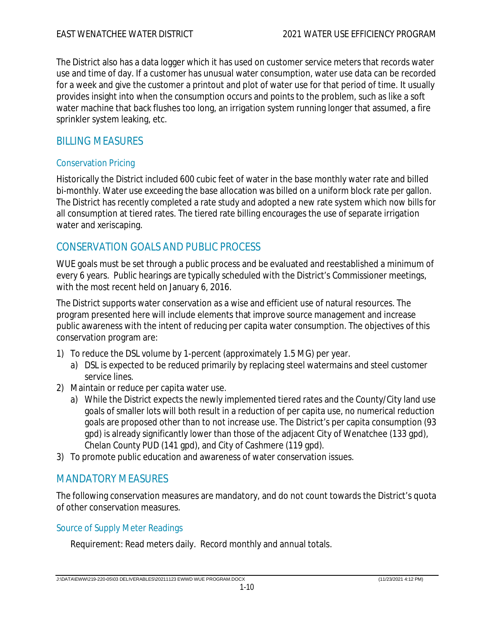The District also has a data logger which it has used on customer service meters that records water use and time of day. If a customer has unusual water consumption, water use data can be recorded for a week and give the customer a printout and plot of water use for that period of time. It usually provides insight into when the consumption occurs and points to the problem, such as like a soft water machine that back flushes too long, an irrigation system running longer that assumed, a fire sprinkler system leaking, etc.

## BILLING MEASURES

#### Conservation Pricing

Historically the District included 600 cubic feet of water in the base monthly water rate and billed bi-monthly. Water use exceeding the base allocation was billed on a uniform block rate per gallon. The District has recently completed a rate study and adopted a new rate system which now bills for all consumption at tiered rates. The tiered rate billing encourages the use of separate irrigation water and xeriscaping.

## CONSERVATION GOALS AND PUBLIC PROCESS

WUE goals must be set through a public process and be evaluated and reestablished a minimum of every 6 years. Public hearings are typically scheduled with the District's Commissioner meetings, with the most recent held on January 6, 2016.

The District supports water conservation as a wise and efficient use of natural resources. The program presented here will include elements that improve source management and increase public awareness with the intent of reducing per capita water consumption. The objectives of this conservation program are:

- 1) To reduce the DSL volume by 1-percent (approximately 1.5 MG) per year.
	- a) DSL is expected to be reduced primarily by replacing steel watermains and steel customer service lines.
- 2) Maintain or reduce per capita water use.
	- a) While the District expects the newly implemented tiered rates and the County/City land use goals of smaller lots will both result in a reduction of per capita use, no numerical reduction goals are proposed other than to not increase use. The District's per capita consumption (93 gpd) is already significantly lower than those of the adjacent City of Wenatchee (133 gpd), Chelan County PUD (141 gpd), and City of Cashmere (119 gpd).
- 3) To promote public education and awareness of water conservation issues.

## MANDATORY MEASURES

The following conservation measures are mandatory, and do not count towards the District's quota of other conservation measures.

#### Source of Supply Meter Readings

Requirement: Read meters daily. Record monthly and annual totals.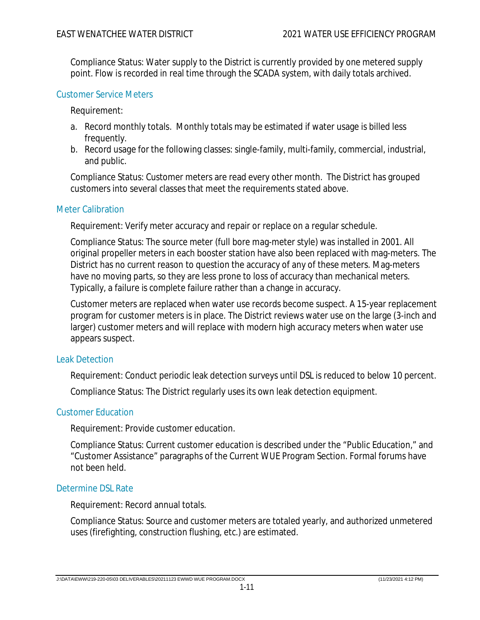Compliance Status: Water supply to the District is currently provided by one metered supply point. Flow is recorded in real time through the SCADA system, with daily totals archived.

#### Customer Service Meters

Requirement:

- a. Record monthly totals. Monthly totals may be estimated if water usage is billed less frequently.
- b. Record usage for the following classes: single-family, multi-family, commercial, industrial, and public.

Compliance Status: Customer meters are read every other month. The District has grouped customers into several classes that meet the requirements stated above.

#### Meter Calibration

Requirement: Verify meter accuracy and repair or replace on a regular schedule.

Compliance Status: The source meter (full bore mag-meter style) was installed in 2001. All original propeller meters in each booster station have also been replaced with mag-meters. The District has no current reason to question the accuracy of any of these meters. Mag-meters have no moving parts, so they are less prone to loss of accuracy than mechanical meters. Typically, a failure is complete failure rather than a change in accuracy.

Customer meters are replaced when water use records become suspect. A 15-year replacement program for customer meters is in place. The District reviews water use on the large (3-inch and larger) customer meters and will replace with modern high accuracy meters when water use appears suspect.

#### Leak Detection

Requirement: Conduct periodic leak detection surveys until DSL is reduced to below 10 percent.

Compliance Status: The District regularly uses its own leak detection equipment.

#### Customer Education

Requirement: Provide customer education.

Compliance Status: Current customer education is described under the "Public Education," and "Customer Assistance" paragraphs of the Current WUE Program Section. Formal forums have not been held.

#### Determine DSL Rate

Requirement: Record annual totals.

Compliance Status: Source and customer meters are totaled yearly, and authorized unmetered uses (firefighting, construction flushing, etc.) are estimated.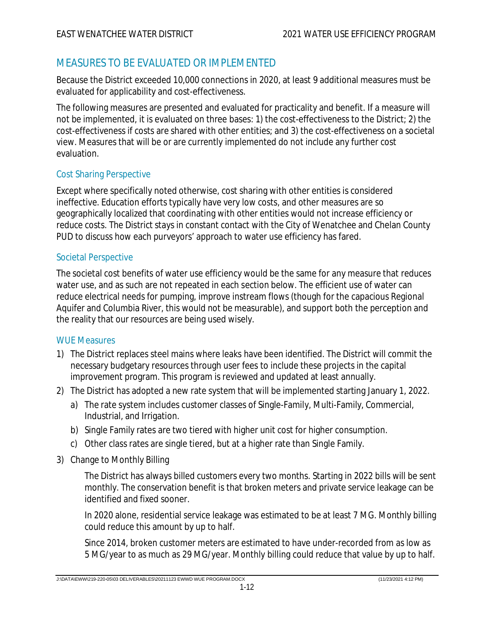## MEASURES TO BE EVALUATED OR IMPLEMENTED

Because the District exceeded 10,000 connections in 2020, at least 9 additional measures must be evaluated for applicability and cost-effectiveness.

The following measures are presented and evaluated for practicality and benefit. If a measure will not be implemented, it is evaluated on three bases: 1) the cost-effectiveness to the District; 2) the cost-effectiveness if costs are shared with other entities; and 3) the cost-effectiveness on a societal view. Measures that will be or are currently implemented do not include any further cost evaluation.

#### Cost Sharing Perspective

Except where specifically noted otherwise, cost sharing with other entities is considered ineffective. Education efforts typically have very low costs, and other measures are so geographically localized that coordinating with other entities would not increase efficiency or reduce costs. The District stays in constant contact with the City of Wenatchee and Chelan County PUD to discuss how each purveyors' approach to water use efficiency has fared.

#### Societal Perspective

The societal cost benefits of water use efficiency would be the same for any measure that reduces water use, and as such are not repeated in each section below. The efficient use of water can reduce electrical needs for pumping, improve instream flows (though for the capacious Regional Aquifer and Columbia River, this would not be measurable), and support both the perception and the reality that our resources are being used wisely.

#### WUE Measures

- 1) The District replaces steel mains where leaks have been identified. The District will commit the necessary budgetary resources through user fees to include these projects in the capital improvement program. This program is reviewed and updated at least annually.
- 2) The District has adopted a new rate system that will be implemented starting January 1, 2022.
	- a) The rate system includes customer classes of Single-Family, Multi-Family, Commercial, Industrial, and Irrigation.
	- b) Single Family rates are two tiered with higher unit cost for higher consumption.
	- c) Other class rates are single tiered, but at a higher rate than Single Family.
- 3) Change to Monthly Billing

The District has always billed customers every two months. Starting in 2022 bills will be sent monthly. The conservation benefit is that broken meters and private service leakage can be identified and fixed sooner.

In 2020 alone, residential service leakage was estimated to be at least 7 MG. Monthly billing could reduce this amount by up to half.

Since 2014, broken customer meters are estimated to have under-recorded from as low as 5 MG/year to as much as 29 MG/year. Monthly billing could reduce that value by up to half.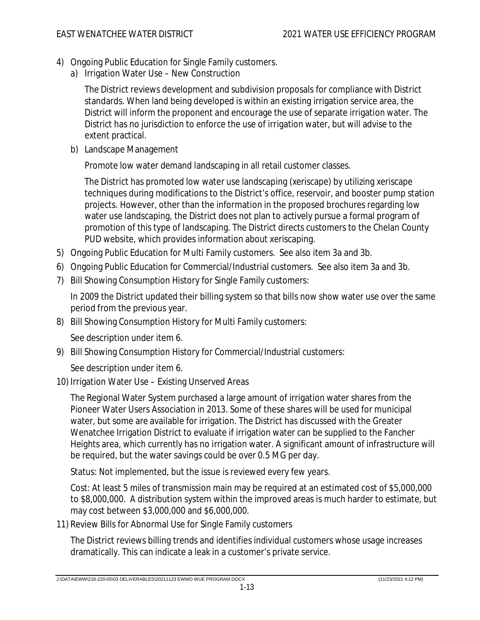- 4) Ongoing Public Education for Single Family customers.
	- a) Irrigation Water Use New Construction

The District reviews development and subdivision proposals for compliance with District standards. When land being developed is within an existing irrigation service area, the District will inform the proponent and encourage the use of separate irrigation water. The District has no jurisdiction to enforce the use of irrigation water, but will advise to the extent practical.

b) Landscape Management

Promote low water demand landscaping in all retail customer classes.

The District has promoted low water use landscaping (xeriscape) by utilizing xeriscape techniques during modifications to the District's office, reservoir, and booster pump station projects. However, other than the information in the proposed brochures regarding low water use landscaping, the District does not plan to actively pursue a formal program of promotion of this type of landscaping. The District directs customers to the Chelan County PUD website, which provides information about xeriscaping.

- 5) Ongoing Public Education for Multi Family customers. See also item 3a and 3b.
- 6) Ongoing Public Education for Commercial/Industrial customers. See also item 3a and 3b.
- 7) Bill Showing Consumption History for Single Family customers:

In 2009 the District updated their billing system so that bills now show water use over the same period from the previous year.

8) Bill Showing Consumption History for Multi Family customers:

See description under item 6.

9) Bill Showing Consumption History for Commercial/Industrial customers:

See description under item 6.

10) Irrigation Water Use – Existing Unserved Areas

The Regional Water System purchased a large amount of irrigation water shares from the Pioneer Water Users Association in 2013. Some of these shares will be used for municipal water, but some are available for irrigation. The District has discussed with the Greater Wenatchee Irrigation District to evaluate if irrigation water can be supplied to the Fancher Heights area, which currently has no irrigation water. A significant amount of infrastructure will be required, but the water savings could be over 0.5 MG per day.

Status: Not implemented, but the issue is reviewed every few years.

Cost: At least 5 miles of transmission main may be required at an estimated cost of \$5,000,000 to \$8,000,000. A distribution system within the improved areas is much harder to estimate, but may cost between \$3,000,000 and \$6,000,000.

11) Review Bills for Abnormal Use for Single Family customers

The District reviews billing trends and identifies individual customers whose usage increases dramatically. This can indicate a leak in a customer's private service.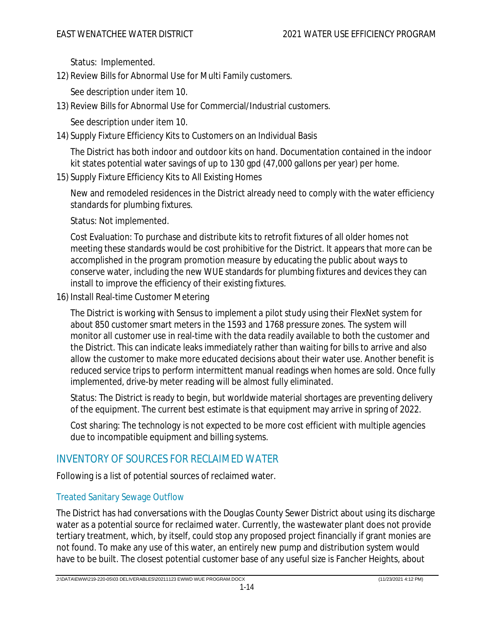Status: Implemented.

12) Review Bills for Abnormal Use for Multi Family customers.

See description under item 10.

13) Review Bills for Abnormal Use for Commercial/Industrial customers.

See description under item 10.

14) Supply Fixture Efficiency Kits to Customers on an Individual Basis

The District has both indoor and outdoor kits on hand. Documentation contained in the indoor kit states potential water savings of up to 130 gpd (47,000 gallons per year) per home.

15) Supply Fixture Efficiency Kits to All Existing Homes

New and remodeled residences in the District already need to comply with the water efficiency standards for plumbing fixtures.

Status: Not implemented.

Cost Evaluation: To purchase and distribute kits to retrofit fixtures of all older homes not meeting these standards would be cost prohibitive for the District. It appears that more can be accomplished in the program promotion measure by educating the public about ways to conserve water, including the new WUE standards for plumbing fixtures and devices they can install to improve the efficiency of their existing fixtures.

16) Install Real-time Customer Metering

The District is working with Sensus to implement a pilot study using their FlexNet system for about 850 customer smart meters in the 1593 and 1768 pressure zones. The system will monitor all customer use in real-time with the data readily available to both the customer and the District. This can indicate leaks immediately rather than waiting for bills to arrive and also allow the customer to make more educated decisions about their water use. Another benefit is reduced service trips to perform intermittent manual readings when homes are sold. Once fully implemented, drive-by meter reading will be almost fully eliminated.

Status: The District is ready to begin, but worldwide material shortages are preventing delivery of the equipment. The current best estimate is that equipment may arrive in spring of 2022.

Cost sharing: The technology is not expected to be more cost efficient with multiple agencies due to incompatible equipment and billing systems.

## INVENTORY OF SOURCES FOR RECLAIMED WATER

Following is a list of potential sources of reclaimed water.

#### Treated Sanitary Sewage Outflow

The District has had conversations with the Douglas County Sewer District about using its discharge water as a potential source for reclaimed water. Currently, the wastewater plant does not provide tertiary treatment, which, by itself, could stop any proposed project financially if grant monies are not found. To make any use of this water, an entirely new pump and distribution system would have to be built. The closest potential customer base of any useful size is Fancher Heights, about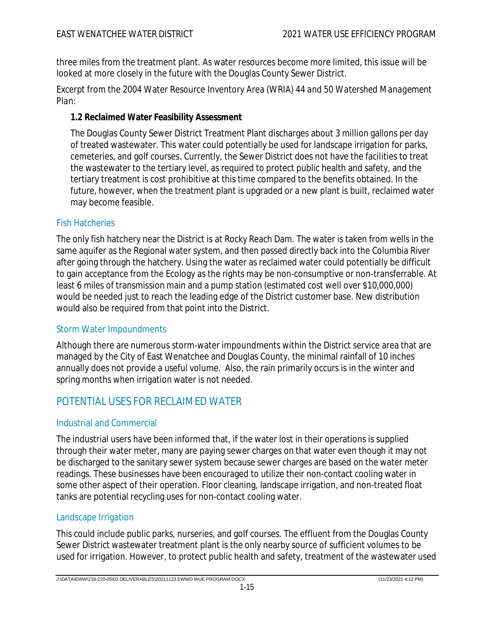three miles from the treatment plant. As water resources become more limited, this issue will be looked at more closely in the future with the Douglas County Sewer District.

Excerpt from the 2004 Water Resource Inventory Area (*WRIA*) *44 and 50 Watershed Management Plan*:

**1.2 Reclaimed Water Feasibility Assessment**

The Douglas County Sewer District Treatment Plant discharges about 3 million gallons per day of treated wastewater. This water could potentially be used for landscape irrigation for parks, cemeteries, and golf courses. Currently, the Sewer District does not have the facilities to treat the wastewater to the tertiary level, as required to protect public health and safety, and the tertiary treatment is cost prohibitive at this time compared to the benefits obtained. In the future, however, when the treatment plant is upgraded or a new plant is built, reclaimed water may become feasible.

#### Fish Hatcheries

The only fish hatchery near the District is at Rocky Reach Dam. The water is taken from wells in the same aquifer as the Regional water system, and then passed directly back into the Columbia River after going through the hatchery. Using the water as reclaimed water could potentially be difficult to gain acceptance from the Ecology as the rights may be non-consumptive or non-transferrable. At least 6 miles of transmission main and a pump station (estimated cost well over \$10,000,000) would be needed just to reach the leading edge of the District customer base. New distribution would also be required from that point into the District.

#### Storm Water Impoundments

Although there are numerous storm-water impoundments within the District service area that are managed by the City of East Wenatchee and Douglas County, the minimal rainfall of 10 inches annually does not provide a useful volume. Also, the rain primarily occurs is in the winter and spring months when irrigation water is not needed.

## POTENTIAL USES FOR RECLAIMED WATER

#### Industrial and Commercial

The industrial users have been informed that, if the water lost in their operations is supplied through their water meter, many are paying sewer charges on that water even though it may not be discharged to the sanitary sewer system because sewer charges are based on the water meter readings. These businesses have been encouraged to utilize their non-contact cooling water in some other aspect of their operation. Floor cleaning, landscape irrigation, and non-treated float tanks are potential recycling uses for non-contact cooling water.

#### Landscape Irrigation

This could include public parks, nurseries, and golf courses. The effluent from the Douglas County Sewer District wastewater treatment plant is the only nearby source of sufficient volumes to be used for irrigation. However, to protect public health and safety, treatment of the wastewater used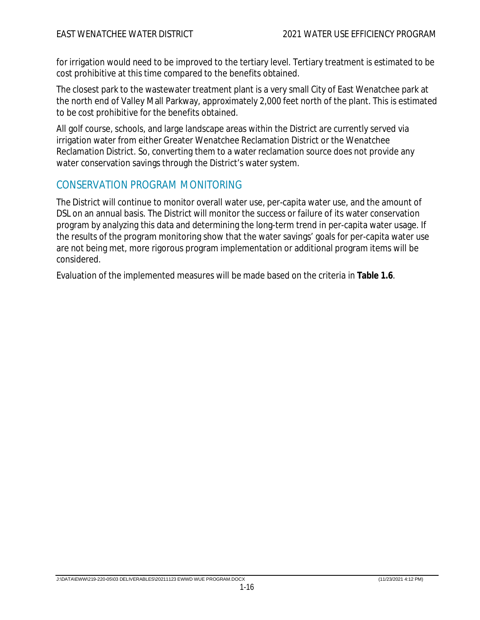for irrigation would need to be improved to the tertiary level. Tertiary treatment is estimated to be cost prohibitive at this time compared to the benefits obtained.

The closest park to the wastewater treatment plant is a very small City of East Wenatchee park at the north end of Valley Mall Parkway, approximately 2,000 feet north of the plant. This is estimated to be cost prohibitive for the benefits obtained.

All golf course, schools, and large landscape areas within the District are currently served via irrigation water from either Greater Wenatchee Reclamation District or the Wenatchee Reclamation District. So, converting them to a water reclamation source does not provide any water conservation savings through the District's water system.

### CONSERVATION PROGRAM MONITORING

The District will continue to monitor overall water use, per-capita water use, and the amount of DSL on an annual basis. The District will monitor the success or failure of its water conservation program by analyzing this data and determining the long-term trend in per-capita water usage. If the results of the program monitoring show that the water savings' goals for per-capita water use are not being met, more rigorous program implementation or additional program items will be considered.

Evaluation of the implemented measures will be made based on the criteria in **Table 1.6**.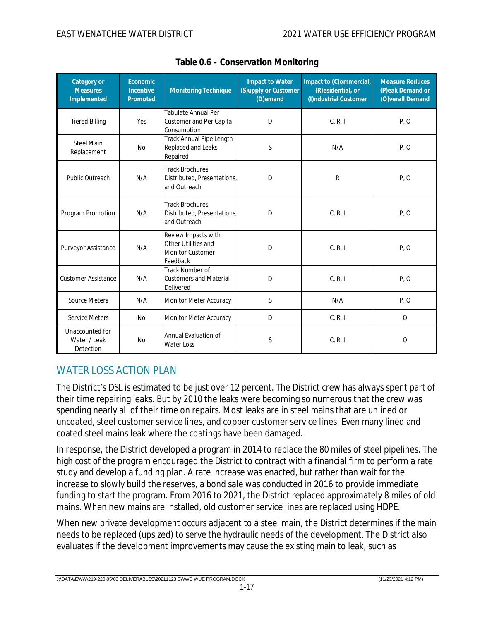| Category or<br><b>Measures</b><br>Implemented | Economic<br>Incentive<br>Promoted | <b>Monitoring Technique</b>                                                       | Impact to Water<br>(S)upply or Customer<br>(D)emand | Impact to (C)ommercial,<br>(R) esidential, or<br>(I)ndustrial Customer | <b>Measure Reduces</b><br>(P)eak Demand or<br>(O)verall Demand |
|-----------------------------------------------|-----------------------------------|-----------------------------------------------------------------------------------|-----------------------------------------------------|------------------------------------------------------------------------|----------------------------------------------------------------|
| <b>Tiered Billing</b>                         | Yes                               | Tabulate Annual Per<br>Customer and Per Capita<br>Consumption                     | D                                                   | C, R, I                                                                | P, O                                                           |
| <b>Steel Main</b><br>Replacement              | <b>No</b>                         | Track Annual Pipe Length<br>Replaced and Leaks<br>Repaired                        | $\mathsf S$                                         | N/A                                                                    | P, O                                                           |
| Public Outreach                               | N/A                               | <b>Track Brochures</b><br>Distributed, Presentations,<br>and Outreach             | D                                                   | R                                                                      | P, O                                                           |
| Program Promotion                             | N/A                               | <b>Track Brochures</b><br>Distributed, Presentations,<br>and Outreach             | D                                                   | C, R, I                                                                | P, O                                                           |
| Purveyor Assistance                           | N/A                               | Review Impacts with<br>Other Utilities and<br><b>Monitor Customer</b><br>Feedback | D                                                   | C, R, I                                                                | P, O                                                           |
| <b>Customer Assistance</b>                    | N/A                               | Track Number of<br><b>Customers and Material</b><br>Delivered                     | D                                                   | C, R, I                                                                | P, O                                                           |
| Source Meters                                 | N/A                               | Monitor Meter Accuracy                                                            | S.                                                  | N/A                                                                    | P, O                                                           |
| <b>Service Meters</b>                         | <b>No</b>                         | Monitor Meter Accuracy                                                            | D                                                   | C, R, I                                                                | $\mathcal{O}$                                                  |
| Unaccounted for<br>Water / Leak<br>Detection  | <b>No</b>                         | Annual Evaluation of<br><b>Water Loss</b>                                         | S                                                   | C, R, I                                                                | $\mathcal{O}$                                                  |

|  | Table 0.6 - Conservation Monitoring |  |
|--|-------------------------------------|--|
|  |                                     |  |

## WATER LOSS ACTION PLAN

The District's DSL is estimated to be just over 12 percent. The District crew has always spent part of their time repairing leaks. But by 2010 the leaks were becoming so numerous that the crew was spending nearly all of their time on repairs. Most leaks are in steel mains that are unlined or uncoated, steel customer service lines, and copper customer service lines. Even many lined and coated steel mains leak where the coatings have been damaged.

In response, the District developed a program in 2014 to replace the 80 miles of steel pipelines. The high cost of the program encouraged the District to contract with a financial firm to perform a rate study and develop a funding plan. A rate increase was enacted, but rather than wait for the increase to slowly build the reserves, a bond sale was conducted in 2016 to provide immediate funding to start the program. From 2016 to 2021, the District replaced approximately 8 miles of old mains. When new mains are installed, old customer service lines are replaced using HDPE.

When new private development occurs adjacent to a steel main, the District determines if the main needs to be replaced (upsized) to serve the hydraulic needs of the development. The District also evaluates if the development improvements may cause the existing main to leak, such as